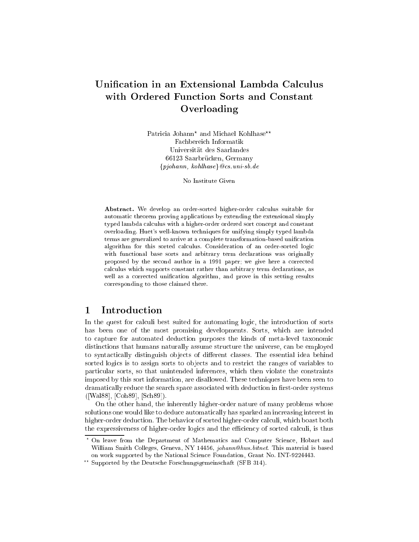# with Ordered Fun
tion Sorts and Constant Overloading

Patricia Johann\* and Michael Kohlhase\*\* Fa
hberei
h Informatik Universitat des Saarlandes 66123 Saarbru
ken, Germany  ${p}johann, kohlhase}$ @cs.uni-sb.de

No Institute Given

Abstract. We develop an order-sorted higher-order calculus suitable for automati theorem proving appli
ations by extending the extensional simply typed lambda calculus with a higher-order ordered sort concept and constant overloading. Huet's well-known te
hniques for unifying simply typed lambda terms are generalized to arrive at a complete transformation-based unification algorithm for this sorted calculus. Consideration of an order-sorted logic with functional base sorts and arbitrary term declarations was originally proposed by the se
ond author in a 1991 paper; we give here a orre
ted al
ulus whi
h supports onstant rather than arbitrary term de
larations, as well as a corrected unification algorithm, and prove in this setting results orresponding to those laimed there.

#### **Introduction** 1

In the quest for calculi best suited for automating logic, the introduction of sorts has been one of the most promising developments. Sorts, whi
h are intended to apture for automated dedu
tion purposes the kinds of meta-level taxonomi distinctions that humans naturally assume structure the universe, can be employed to syntactically distinguish objects of different classes. The essential idea behind sorted logics is to assign sorts to objects and to restrict the ranges of variables to parti
ular sorts, so that unintended inferen
es, whi
h then violate the onstraints imposed by this sort information, are disallowed. These te
hniques have been seen to dramatically reduce the search space associated with deduction in first-order systems  $([Wa188], [Coh89], [Sch89]).$ 

On the other hand, the inherently higher-order nature of many problems whose solutions one would like to deduce automatically has sparked an increasing interest in higher-order deduction. The behavior of sorted higher-order calculi, which boast both the expressiveness of higher-order logics and the efficiency of sorted calculi, is thus

On leave from the Department of Mathematics and Computer Science, Hobart and William Smith Colleges, Geneva, NY 14456, johann@hws.bitnet. This material is based on work supported by the National S
ien
e Foundation, Grant No. INT-9224443.

<sup>??</sup> Supported by the Deuts
he Fors
hungsgemeins
haft (SFB 314).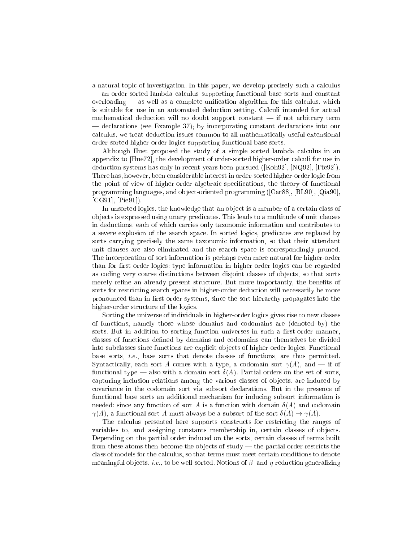a natural topic of investigation. In this paper, we develop precisely such a calculus — an order-sorted lambda calculus supporting functional base sorts and constant overloading — as well as a complete unification algorithm for this calculus, which is suitable for use in an automated deduction setting. Calculi intended for actual mathematical deduction will no doubt support constant – if not arbitrary term | de
larations (see Example 37); by in
orporating onstant de
larations into our calculus, we treat deduction issues common to all mathematically useful extensional order-sorted higher-order logi
s supporting fun
tional base sorts.

Although Huet proposed the study of a simple sorted lambda calculus in an appendix to  $[Hue72]$ , the development of order-sorted higher-order calculi for use in deduction systems has only in recent years been pursued  $([Koh92], [NQ92], [Pfe92])$ . There has, however, been considerable interest in order-sorted higher-order logic from the point of view of higher-order algebraic specifications, the theory of functional programming languages, and object-oriented programming ([Car88], [BL90], [Qia90],  $[CG91], [Pie91].$ 

In unsorted logics, the knowledge that an object is a member of a certain class of objects is expressed using unary predicates. This leads to a multitude of unit clauses in dedu
tions, ea
h of whi
h arries only taxonomi information and ontributes to a severe explosion of the sear
h spa
e. In sorted logi
s, predi
ates are repla
ed by sorts carrying precisely the same taxonomic information, so that their attendant unit lauses are also eliminated and the sear
h spa
e is orrespondingly pruned. The in
orporation of sort information is perhaps even more natural for higher-order than for first-order logics: type information in higher-order logics can be regarded as coding very coarse distinctions between disjoint classes of objects, so that sorts merely refine an already present structure. But more importantly, the benefits of sorts for restricting search spaces in higher-order deduction will necessarily be more pronounced than in first-order systems, since the sort hierarchy propagates into the higher-order structure of the logics.

Sorting the universe of individuals in higher-order logi
s gives rise to new lasses of fun
tions, namely those whose domains and odomains are (denoted by) the sorts. But in addition to sorting function universes in such a first-order manner, classes of functions defined by domains and codomains can themselves be divided into sub
lasses sin
e fun
tions are expli
it ob je
ts of higher-order logi
s. Fun
tional base sorts, i.e., base sorts that denote lasses of fun
tions, are thus permitted. Syntactically, each sort A comes with a type, a codomain sort  $\gamma(A)$ , and — if of functional type — also with a domain sort  $\delta(A)$ . Partial orders on the set of sorts, capturing inclusion relations among the various classes of objects, are induced by ovarian
e in the odomain sort via subsort de
larations. But in the presen
e of fun
tional base sorts an additional me
hanism for indu
ing subsort information is needed: since any function of sort A is a function with domain  $\delta(A)$  and codomain  $\gamma(A)$ , a functional sort A must always be a subsort of the sort  $\delta(A) \to \gamma(A)$ .

The calculus presented here supports constructs for restricting the ranges of variables to, and assigning constants membership in, certain classes of objects. Depending on the partial order induced on the sorts, certain classes of terms built from these atoms then become the objects of study  $-$  the partial order restricts the class of models for the calculus, so that terms must meet certain conditions to denote meaningful objects, *i.e.*, to be well-sorted. Notions of  $\beta$ - and  $\eta$ -reduction generalizing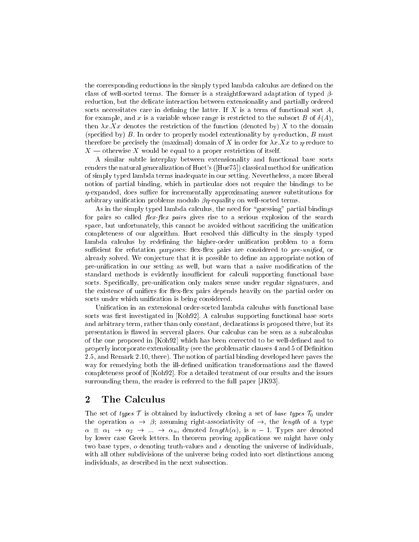the corresponding reductions in the simply typed lambda calculus are defined on the class of well-sorted terms. The former is a straightforward adaptation of typed  $\beta$ redu
tion, but the deli
ate intera
tion between extensionality and partially ordered sorts necessitates care in defining the latter. If  $X$  is a term of functional sort  $A$ , for example, and x is a variable whose range is restricted to the subsort B of  $\delta(A)$ , then  $\lambda x. Xx$  denotes the restriction of the function (denoted by) X to the domain (specified by) B. In order to properly model extentionality by  $\eta$ -reduction, B must therefore be precisely the (maximal) domain of X in order for  $\lambda x. X x$  to  $\eta$ -reduce to  $X$  — otherwise X would be equal to a proper restriction of itself.

A similar subtle interplay between extensionality and fun
tional base sorts renders the natural generalization of Huet's  $([Hue75])$  classical method for unification of simply typed lambda terms inadequate in our setting. Nevertheless, a more liberal notion of partial binding, whi
h in parti
ular does not require the bindings to be  $\eta$ -expanded, does suffice for incrementally approximating answer substitutions for arbitrary unification problems modulo  $\beta\eta$ -equality on well-sorted terms.

As in the simply typed lambda calculus, the need for "guessing" partial bindings for pairs so called  $flex$ -flex pairs gives rise to a serious explosion of the search space, but unfortunately, this cannot be avoided without sacrificing the unification completeness of our algorithm. Huet resolved this difficulty in the simply typed lambda calculus by redefining the higher-order unification problem to a form sufficient for refutation purposes: flex-flex pairs are considered to pre-unified, or already solved. We conjecture that it is possible to define an appropriate notion of pre-unification in our setting as well, but warn that a naive modification of the standard methods is evidently insufficient for calculi supporting functional base sorts. Specifically, pre-unification only makes sense under regular signatures, and the existence of unifiers for flex-flex pairs depends heavily on the partial order on sorts under which unification is being considered.

Unification in an extensional order-sorted lambda calculus with functional base sorts was first investigated in  $[Koh92]$ . A calculus supporting functional base sorts and arbitrary term, rather than only onstant, de
larations is proposed there, but its presentation is flawed in serveral places. Our calculus can be seen as a subcalculus of the one proposed in [Koh92] which has been corrected to be well-defined and to properly in
orporate extensionality (see the problemati lauses 4 and 5 of Denition 2.5, and Remark 2.10, there). The notion of partial binding developed here paves the way for remedying both the ill-defined unification transformations and the flawed completeness proof of  $[Koh92]$ . For a detailed treatment of our results and the issues surrounding them, the reader is referred to the full paper [JK93].

#### $\overline{2}$ The Calculus

The set of types  $\mathcal T$  is obtained by inductively closing a set of base types  $\mathcal T_0$  under the operation  $\alpha \to \beta$ ; assuming right-associativity of  $\rightarrow$ , the length of a type  $\alpha \equiv \alpha_1 \rightarrow \alpha_2 \rightarrow \dots \rightarrow \alpha_n$ , denoted length( $\alpha$ ), is n - 1. Types are denoted by lower ase Greek letters. In theorem proving appli
ations we might have only two base types,  $\sigma$  denoting truth-values and  $\iota$  denoting the universe of individuals, with all other subdivisions of the universe being coded into sort distinctions among individuals, as des
ribed in the next subse
tion.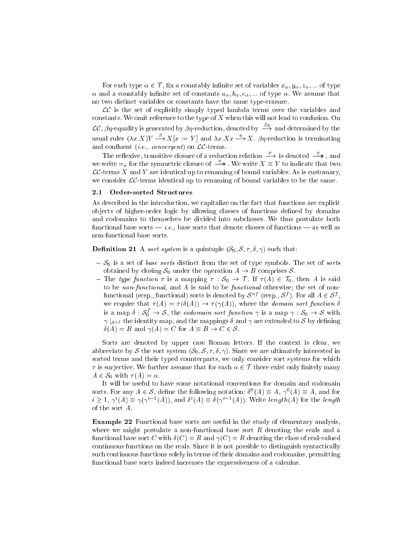For each type  $\alpha \in \mathcal{T}$ , fix a countably infinite set of variables  $x_{\alpha}, y_{\alpha}, z_{\alpha}, ...$  of type  $\alpha$  and a countably infinite set of constants  $a_{\alpha}, b_{\alpha}, c_{\alpha}, ...$  of type  $\alpha$ . We assume that no two distinct variables or constants have the same type-erasure.

 $\mathcal{LC}$  is the set of explicitly simply typed lambda terms over the variables and constants. We omit reference to the type of  $X$  when this will not lead to confusion. On  $\mathcal{LC}, \beta\eta$ -equality is generated by  $\beta\eta$ -reduction, denoted by  $\stackrel{\beta\eta}{\longrightarrow}$  and determined by the usual rules  $(\lambda x.X)Y \stackrel{\beta}{\longrightarrow} X[x := Y]$  and  $\lambda x.Xx \stackrel{\eta}{\longrightarrow} X$ .  $\beta \eta$ -reduction is terminating and confluent (i.e., convergent) on  $LC$ -terms.

The reflexive, transitive closure of a reduction relation  $\stackrel{\nu}{\longrightarrow}$  is denoted  $\stackrel{\nu}{\longrightarrow}$ , and we write  $=_\nu$  for the symmetric closure of  $\frac{\nu}{x}$ . We write  $X \equiv Y$  to indicate that two  $LC$ -terms X and Y are identical up to renaming of bound variables. As is customary, we consider  $LC$ -terms identical up to renaming of bound variables to be the same.

#### **Order-sorted Structures**  $2.1$

As described in the introduction, we capitalize on the fact that functions are explicit objects of higher-order logic by allowing classes of functions defined by domains and codomains to themselves be divided into subclasses. We thus postulate both functional base sorts  $-i.e.,$  base sorts that denote classes of functions  $-$  as well as non-functional base sorts.

**Definition 21** A *sort system* is a quintuple  $(S_0, S, \tau, \delta, \gamma)$  such that:

- $-S_0$  is a set of *base sorts* distinct from the set of type symbols. The set of *sorts* obtained by closing  $S_0$  under the operation  $A \rightarrow B$  comprises S.
- The type function  $\tau$  is a mapping  $\tau : S_0 \to \mathcal{T}$ . If  $\tau(A) \in \mathcal{T}_0$ , then A is said to be non-functional, and A is said to be functional otherwise; the set of nonfunctional (resp., functional) sorts is denoted by  $S^{nf}$  (resp.,  $S^f$ ). For all  $A \in S^f$ , we require that  $\tau(A) = \tau(\delta(A)) \to \tau(\gamma(A))$ , where the *domain sort function*  $\delta$ is a map  $\delta : S_0^f \to S$ , the *codomain sort function*  $\gamma$  is a map  $\gamma : S_0 \to S$  with  $\gamma |_{S^{nf}}$  the identity map, and the mappings  $\delta$  and  $\gamma$  are extended to S by defining  $\delta(A) = B$  and  $\gamma(A) = C$  for  $A \equiv B \rightarrow C \in \mathcal{S}$ .

Sorts are denoted by upper case Roman letters. If the context is clear, we abbreviate by S the sort system  $(S_0, S, \tau, \delta, \gamma)$ . Since we are ultimately interested in sorted terms and their typed counterparts, we only consider sort systems for which  $\tau$  is surjective. We further assume that for each  $\alpha \in \mathcal{T}$  there exist only finitely many  $A \in \mathcal{S}_0$  with  $\tau(A) = \alpha$ .

It will be useful to have some notational conventions for domain and codomain sorts. For any  $A \in \mathcal{S}$ , define the following notation:  $\delta^0(A) \equiv A$ ,  $\gamma^0(A) \equiv A$ , and for  $i \geq 1$ ,  $\gamma^{i}(A) \equiv \gamma(\gamma^{i-1}(A))$ , and  $\delta^{i}(A) \equiv \delta(\gamma^{i-1}(A))$ . Write length (A) for the length of the sort A.

**Example 22** Functional base sorts are useful in the study of elementary analysis, where we might postulate a non-functional base sort  $R$  denoting the reals and a functional base sort C with  $\delta(C) = R$  and  $\gamma(C) = R$  denoting the class of real-valued continuous functions on the reals. Since it is not possible to distinguish syntactically such continuous functions solely in terms of their domains and codomains, permitting functional base sorts indeed increases the expressiveness of a calculus.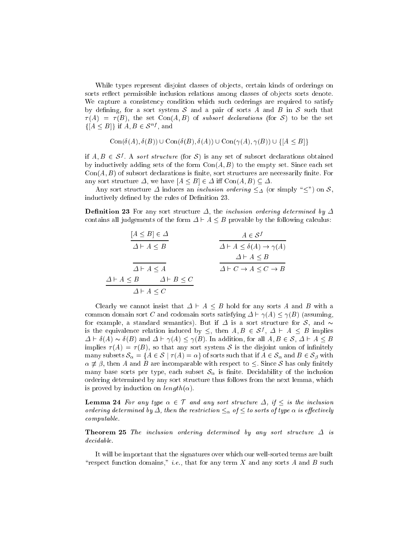While types represent disjoint classes of objects, certain kinds of orderings on sorts reflect permissible inclusion relations among classes of objects sorts denote. We capture a consistency condition which such orderings are required to satisfy by defining, for a sort system S and a pair of sorts A and B in S such that  $\tau(A) = \tau(B)$ , the set  $Con(A, B)$  of subsort declarations (for S) to be the set  $\{[A \leq B]\}\;$  if  $A, B \in \mathcal{S}^{nf}$ , and

$$
Con(\delta(A), \delta(B)) \cup Con(\delta(B), \delta(A)) \cup Con(\gamma(A), \gamma(B)) \cup \{[A \leq B]\}\
$$

if  $A, B \in \mathcal{S}^f$ . A sort structure (for S) is any set of subsort declarations obtained by inductively adding sets of the form  $Con(A, B)$  to the empty set. Since each set  $Con(A, B)$  of subsort declarations is finite, sort structures are necessarily finite. For any sort structure  $\Delta$ , we have  $[A \leq B] \in \Delta$  iff  $Con(A, B) \subseteq \Delta$ .

Any sort structure  $\Delta$  induces an *inclusion ordering*  $\leq_{\Delta}$  (or simply " $\leq$ ") on S, inductively defined by the rules of Definition 23.

**Definition 23** For any sort structure  $\Delta$ , the inclusion ordering determined by  $\Delta$ contains all judgements of the form  $\Delta \vdash A \leq B$  provable by the following calculus:

$$
\frac{[A \le B] \in \Delta}{\Delta \vdash A \le B} \qquad \qquad \frac{A \in \mathcal{S}^f}{\Delta \vdash A \le \delta(A) \to \gamma(A)}
$$
\n
$$
\frac{\Delta \vdash A \le B}{\Delta \vdash A \le B} \qquad \qquad \frac{\Delta \vdash A \le B}{\Delta \vdash C \to A \le C \to B}
$$
\n
$$
\frac{\Delta \vdash A \le B}{\Delta \vdash A \le C} \qquad \qquad \frac{\Delta \vdash A \le C}{\Delta \vdash A \le C}
$$

Clearly we cannot insist that  $\Delta \vdash A \leq B$  hold for any sorts A and B with a common domain sort C and codomain sorts satisfying  $\Delta \vdash \gamma(A) \leq \gamma(B)$  (assuming, for example, a standard semantics). But if  $\Delta$  is a sort structure for S, and  $\sim$ is the equivalence relation induced by  $\leq$ , then  $A, B \in S^f$ ,  $\Delta \vdash A \leq B$  implies  $\Delta \vdash \delta(A) \sim \delta(B)$  and  $\Delta \vdash \gamma(A) \leq \gamma(B)$ . In addition, for all  $A, B \in \mathcal{S}, \Delta \vdash A \leq B$ implies  $\tau(A) = \tau(B)$ , so that any sort system S is the disjoint union of infinitely many subsets  $S_\alpha = \{A \in S \mid \tau(A) = \alpha\}$  of sorts such that if  $A \in S_\alpha$  and  $B \in S_\beta$  with  $\alpha \neq \beta$ , then A and B are incomparable with respect to  $\leq$ . Since S has only finitely many base sorts per type, each subset  $\mathcal{S}_{\alpha}$  is finite. Decidebility of the inclusion ordering determined by any sort structure thus follows from the next lemma, which is proved by induction on  $length(\alpha)$ .

**Lemma 24** For any type  $\alpha \in \mathcal{T}$  and any sort structure  $\Delta$ , if  $\leq$  is the inclusion ordering determined by  $\Delta$ , then the restriction  $\leq_\alpha$  of  $\leq$  to sorts of type  $\alpha$  is effectively omputable.

**Theorem 25** The inclusion ordering determined by any sort structure  $\Delta$  is decidable.

It will be important that the signatures over whi
h our well-sorted terms are built "respect function domains," *i.e.*, that for any term  $X$  and any sorts  $A$  and  $B$  such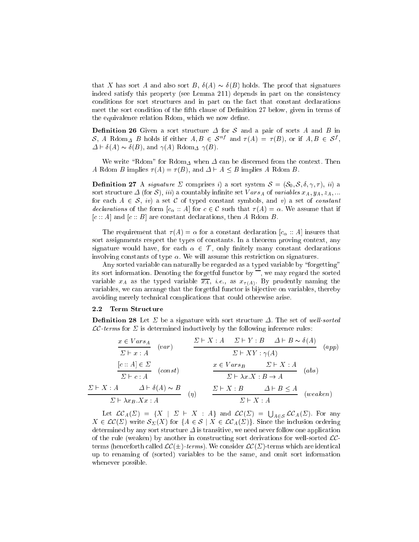that X has sort A and also sort B,  $\delta(A) \sim \delta(B)$  holds. The proof that signatures indeed satisfy this property (see Lemma 211) depends in part on the consistency conditions for sort structures and in part on the fact that constant declarations meet the sort condition of the fifth clause of Definition 27 below, given in terms of the equivalence relation Rdom, which we now define.

**Definition 26** Given a sort structure  $\Delta$  for S and a pair of sorts A and B in S, A Rdom<sub>A</sub> B holds if either  $A, B \in S^{nf}$  and  $\tau(A) = \tau(B)$ , or if  $A, B \in S^f$ ,  $\Delta \vdash \delta(A) \sim \delta(B)$ , and  $\gamma(A)$  Rdom  $\Delta \gamma(B)$ .

We write "Rdom" for  $\operatorname{Rdom}_\Delta$  when  $\Delta$  can be discerned from the context. Then A Rdom B implies  $\tau(A) = \tau(B)$ , and  $\Delta \vdash A \leq B$  implies A Rdom B.

**Definition 27** A *signature*  $\Sigma$  comprises i) a sort system  $S = (S_0, S, \delta, \gamma, \tau)$ , ii) a sort structure  $\Delta$  (for S), iii) a countably infinite set  $Vars_A$  of variables  $x_A, y_A, z_A, ...$ for each  $A \in S$ , iv) a set C of typed constant symbols, and v) a set of constant declarations of the form  $[c_{\alpha} : A]$  for  $c \in C$  such that  $\tau(A) = \alpha$ . We assume that if  $[c:: A]$  and  $[c:: B]$  are constant declarations, then A Rdom B.

The requirement that  $\tau(A) = \alpha$  for a constant declaration  $[c_{\alpha} : A]$  insures that sort assignments respect the types of constants. In a theorem proving context, any signature would have, for each  $\alpha \in \mathcal{T}$ , only finitely many constant declarations involving constants of type  $\alpha$ . We will assume this restriction on signatures.

Any sorted variable can naturally be regarded as a typed variable by "forgetting" its sort information. Denoting the forgetful functor by  $\overline{\phantom{a}}$ , we may regard the sorted variable  $x_A$  as the typed variable  $\overline{x_A}$ , *i.e.*, as  $x_{\tau(A)}$ . By prudently naming the variables, we can arrange that the forgetful functor is bijective on variables, thereby avoiding merely technical complications that could otherwise arise.

### 2.2 Term Structure

**Definition 28** Let  $\Sigma$  be a signature with sort structure  $\Delta$ . The set of well-sorted  $LC$ -terms for  $\Sigma$  is determined inductively by the following inference rules:

$$
\frac{x \in Vars_A}{\Sigma \vdash x : A} \quad (var) \qquad \frac{\Sigma \vdash X : A \quad \Sigma \vdash Y : B \quad \Delta \vdash B \sim \delta(A)}{\Sigma \vdash XY : \gamma(A)} \quad (app)
$$
\n
$$
\frac{[c :: A] \in \Sigma}{\Sigma \vdash c : A} \quad (const) \qquad \frac{x \in Vars_B \quad \Sigma \vdash X : A}{\Sigma \vdash \lambda x . X : B \to A} \quad (abs)
$$
\n
$$
\frac{\Sigma \vdash X : A \quad \Delta \vdash \delta(A) \sim B}{\Sigma \vdash \lambda x . X : B \quad \Delta \vdash B \le A} \quad (weaken)
$$
\n
$$
\frac{\Sigma \vdash X : A \quad \Delta \vdash \delta(A) \sim B}{\Sigma \vdash X : A} \quad (\gamma) \qquad \frac{\Sigma \vdash X : B \quad \Delta \vdash B \le A}{\Sigma \vdash X : A} \quad (weaken)
$$

Let  $\mathcal{LC}_A(\Sigma) = \{X \mid \Sigma \vdash X : A\}$  and  $\mathcal{LC}(\Sigma) = \bigcup_{A \in \mathcal{S}} \mathcal{LC}_A(\Sigma)$ . For any  $\Lambda \in \mathcal{L}(\mathcal{Z})$  write  $\mathcal{S}_{\Sigma}(\Lambda)$  for  $\{A \in \mathcal{S} \mid \Lambda \in \mathcal{L}(\mathcal{Z}/\mathcal{Z})\}$ . Since the inclusion ordering determined by any sort structure  $\Delta$  is transitive, we need never follow one application of the rule (weaken) by another in constructing sort derivations for well-sorted  $\mathcal{LC}$ terms (henceforth called  $\mathcal{LC}(\pm)$ -terms). We consider  $\mathcal{LC}(\Sigma)$ -terms which are identical up to renaming of (sorted) variables to be the same, and omit sort information whenever possible.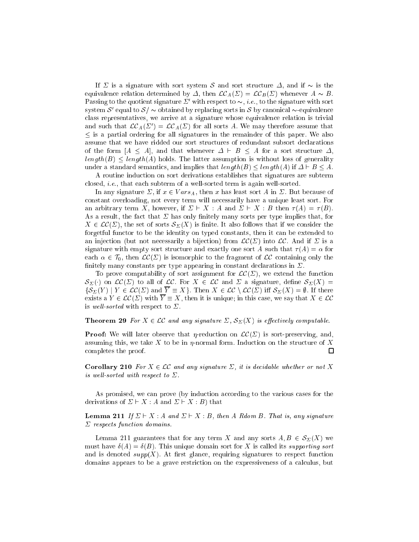If  $\Sigma$  is a signature with sort system S and sort structure  $\Delta$ , and if  $\sim$  is the equivalence relation determined by  $\Delta$ , then  $\mathcal{LC}_A(\Sigma) = \mathcal{LC}_B(\Sigma)$  whenever  $A \sim B$ . Passing to the quotient signature  $\varSigma$  -with respect to  $\sim$ ,  $\imath.e.$ , to the signature with sort system  $\phi$  -equal to  $\phi$  /  $\sim$  obtained by replacing sorts in  $\phi$  by canonical  $\sim$ -equivalence lass representatives, we arrive at a signature whose equivalen
e relation is trivial and such that  $\mathcal{L}C_A(\mathcal{Z}) = \mathcal{L}C_A(\mathcal{Z})$  for all sorts A. We may therefore assume that is a partial ordering for all signatures in the remainder of this paper. We also assume that we have ridded our sort structures of redundant subsort declarations of the form  $[A \leq A]$ , and that whenever  $\Delta \vdash B \leq A$  for a sort structure  $\Delta$ ,  $length(B) \leq length(A)$  holds. The latter assumption is without loss of generality under a standard semantics, and implies that  $length(B) \leq length(A)$  if  $\Delta \vdash B \leq A$ .

A routine indu
tion on sort derivations establishes that signatures are subterm closed, *i.e.*, that each subterm of a well-sorted term is again well-sorted.

In any signature  $\Sigma$ , if  $x \in Vars_A$ , then x has least sort A in  $\Sigma$ . But because of onstant overloading, not every term will ne
essarily have a unique least sort. For an arbitrary term X, however, if  $\Sigma \vdash X : A$  and  $\Sigma \vdash X : B$  then  $\tau(A) = \tau(B)$ . As a result, the fact that  $\Sigma$  has only finitely many sorts per type implies that, for  $X \in \mathcal{LC}(\Sigma)$ , the set of sorts  $\mathcal{S}_{\Sigma}(X)$  is finite. It also follows that if we consider the forgetful functor to be the identity on typed constants, then it can be extended to an injection (but not necessarily a bijection) from  $\mathcal{LC}(\Sigma)$  into  $\mathcal{LC}$ . And if  $\Sigma$  is a signature with empty sort structure and exactly one sort A such that  $\tau(A) = \alpha$  for each  $\alpha \in \mathcal{T}_0$ , then  $\mathcal{LC}(\Sigma)$  is isomorphic to the fragment of  $\mathcal{LC}$  containing only the finitely many constants per type appearing in constant declarations in  $\Sigma$ .

To prove computability of sort assignment for  $\mathcal{LC}(\Sigma)$ , we extend the function  $\mathcal{S}_{\Sigma}(\cdot)$  on  $\mathcal{LC}(\Sigma)$  to all of  $\mathcal{LC}$ . For  $X \in \mathcal{LC}$  and  $\Sigma$  a signature, define  $\mathcal{S}_{\Sigma}(X) =$  $\{\mathcal{S}_{\Sigma}(Y) \mid Y \in \mathcal{LC}(\Sigma) \text{ and } \overline{Y} \equiv X\}.$  Then  $X \in \mathcal{LC} \setminus \mathcal{LC}(\Sigma)$  iff  $\mathcal{S}_{\Sigma}(X) = \emptyset$ . If there exists a  $Y \in \mathcal{LC}(\Sigma)$  with  $\overline{Y} \equiv X$ , then it is unique; in this case, we say that  $X \in \mathcal{LC}$ is well-sorted with respect to  $\Sigma$ .

## **Theorem 29** For  $X \in \mathcal{LC}$  and any signature  $\Sigma$ ,  $\mathcal{S}_{\Sigma}(X)$  is effectively computable.

**Proof:** We will later observe that  $\eta$ -reduction on  $\mathcal{LC}(\Sigma)$  is sort-preserving, and, assuming this, we take X to be in  $\eta$ -normal form. Induction on the structure of X ompletes the proof.  $\Box$ 

**Corollary 210** For  $X \in \mathcal{LC}$  and any signature  $\Sigma$ , it is decidable whether or not X is well-sorted with respect to  $\Sigma$ .

As promised, we can prove (by induction according to the various cases for the derivations of  $\Sigma \vdash X : A$  and  $\Sigma \vdash X : B$ ) that

**Lemma 211** If  $\Sigma \vdash X : A$  and  $\Sigma \vdash X : B$ , then A Rdom B. That is, any signature  $\Sigma$  respects function domains.

Lemma 211 guarantees that for any term X and any sorts  $A, B \in S_{\Sigma}(X)$  we must have  $\delta(A) = \delta(B)$ . This unique domain sort for X is called its supporting sort and is denoted  $supp(X)$ . At first glance, requiring signatures to respect function domains appears to be a grave restriction on the expressiveness of a calculus, but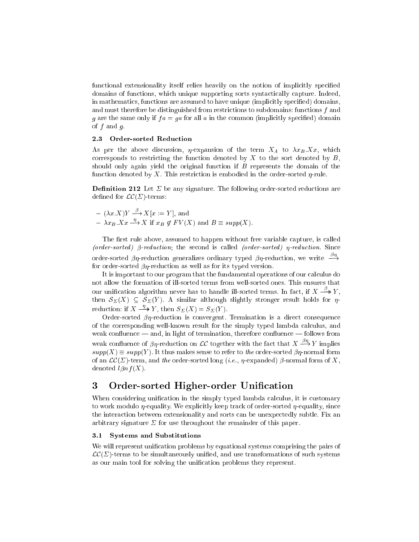functional extensionality itself relies heavily on the notion of implicitly specified domains of functions, which unique supporting sorts syntactically capture. Indeed, in mathematics, functions are assumed to have unique (implicitly specified) domains, and must therefore be distinguished from restrictions to subdomains: functions  $f$  and g are the same only if  $fa = ga$  for all a in the common (implicitly specified) domain of  $f$  and  $g$ .

### 2.3 Order-sorted Reduction

As per the above discussion,  $\eta$ -expansion of the term  $X_A$  to  $\lambda x_B$ . X x, which corresponds to restricting the function denoted by  $X$  to the sort denoted by  $B$ , should only again yield the original fun
tion if B represents the domain of the function denoted by X. This restriction is embodied in the order-sorted  $\eta$ -rule.

**Definition 212** Let  $\Sigma$  be any signature. The following order-sorted reductions are defined for  $\mathcal{LC}(\Sigma)$ -terms:

$$
- (\lambda x.X)Y \xrightarrow{\beta} X[x := Y], \text{ and}
$$
  

$$
- \lambda x_B.Xx \xrightarrow{\eta} X \text{ if } x_B \notin FV(X) \text{ and } B \equiv supp(X).
$$

The first rule above, assumed to happen without free variable capture, is called (order-sorted)  $\beta$ -reduction; the second is called (order-sorted)  $\eta$ -reduction. Since order-sorted  $\beta\eta$ -reduction generalizes ordinary typed  $\beta\eta$ -reduction, we write  $\stackrel{\beta\eta}{\longrightarrow}$ for order-sorted  $\beta\eta$ -reduction as well as for its typed version.

It is important to our program that the fundamental operations of our calculus do not allow the formation of ill-sorted terms from well-sorted ones. This ensures that our unification algorithm never has to handle ill-sorted terms. In fact, if  $X\stackrel{\beta}{\longrightarrow}Y,$ then  $S_{\Sigma}(X) \subseteq \overline{S}_{\Sigma}(Y)$ . A similar although slightly stronger result holds for  $\eta$ reduction: if  $X \stackrel{\eta}{\longrightarrow} Y$ , then  $S_{\Sigma}(X) = S_{\Sigma}(Y)$ .

Order-sorted  $\beta\eta$ -reduction is convergent. Termination is a direct consequence of the corresponding well-known result for the simply typed lambda calculus, and weak confluence — and, in light of termination, therefore confluence — follows from weak confluence of  $\beta\eta$ -reduction on LC together with the fact that  $X \stackrel{\beta\eta}{\longrightarrow} Y$  implies  $supp(X) \equiv supp(Y)$ . It thus makes sense to refer to the order-sorted  $\beta\eta$ -normal form of an  $\mathcal{LC}(\Sigma)$ -term, and the order-sorted long (i.e.,  $\eta$ -expanded)  $\beta$ -normal form of X, denoted  $l\beta nf(X)$ .

#### 3Order-sorted Higher-order Unification

When considering unification in the simply typed lambda calculus, it is customary to work modulo  $\eta$ -equality. We explicitly keep track of order-sorted  $\eta$ -equality, since the interaction between extensionality and sorts can be unexpectedly subtle. Fix an arbitrary signature  $\Sigma$  for use throughout the remainder of this paper.

### 3.1 Systems and Substitutions

We will represent unification problems by equational systems comprising the pairs of  $\mathcal{LC}(\Sigma)$ -terms to be simultaneously unified, and use transformations of such systems as our main tool for solving the unification problems they represent.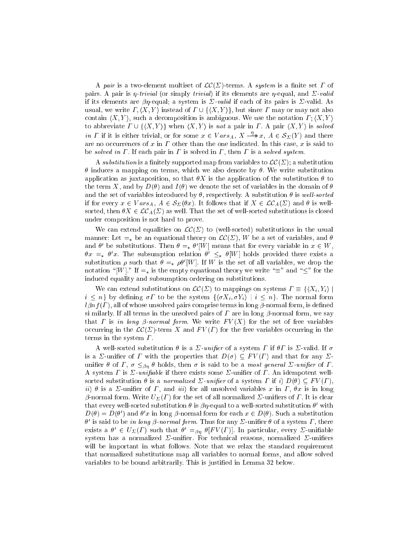A pair is a two-element multiset of  $\mathcal{LC}(\Sigma)$ -terms. A system is a finite set  $\Gamma$  of pairs. A pair is  $\eta$ -trivial (or simply trivial) if its elements are  $\eta$ -equal, and  $\Sigma$ -valid if its elements are  $\beta\eta$ -equal; a system is  $\Sigma$ -valid if each of its pairs is  $\Sigma$ -valid. As usual, we write  $\Gamma$ ,  $\langle X, Y \rangle$  instead of  $\Gamma \cup \{ \langle X, Y \rangle \}$ , but since  $\Gamma$  may or may not also contain  $\langle X, Y \rangle$ , such a decomposition is ambiguous. We use the notation  $\Gamma$ ;  $\langle X, Y \rangle$ to abbreviate  $\Gamma \cup \{ \langle X, Y \rangle \}$  when  $\langle X, Y \rangle$  is not a pair in  $\Gamma$ . A pair  $\langle X, Y \rangle$  is solved in  $\Gamma$  if it is either trivial, or for some  $x \in Vars_A$ ,  $X \longrightarrow x$ ,  $A \in S_{\Sigma}(Y)$  and there are no occurrences of x in  $\Gamma$  other than the one indicated. In this case, x is said to be solved in  $\Gamma$ . If each pair in  $\Gamma$  is solved in  $\Gamma$ , then  $\Gamma$  is a solved system.

A substitution is a finitely supported map from variables to  $\mathcal{LC}(\Sigma)$ ; a substitution  $\theta$  induces a mapping on terms, which we also denote by  $\theta$ . We write substitution application as juxtaposition, so that  $\theta X$  is the application of the substitution  $\theta$  to the term X, and by  $D(\theta)$  and  $I(\theta)$  we denote the set of variables in the domain of  $\theta$ and the set of variables introduced by  $\theta$ , respectively. A substitution  $\theta$  is well-sorted if for every  $x \in Vars_A$ ,  $A \in S_\Sigma(\theta x)$ . It follows that if  $X \in \mathcal{LC}_A(\Sigma)$  and  $\theta$  is wellsorted, then  $\theta X \in \mathcal{LC}_A(\Sigma)$  as well. That the set of well-sorted substitutions is closed under omposition is not hard to prove.

We can extend equalities on  $\mathcal{LC}(\Sigma)$  to (well-sorted) substitutions in the usual manner: Let  $=$ , be an equational theory on  $\mathcal{LC}(\Sigma)$ , W be a set of variables, and b and  $\sigma$  be substitutions. Then  $\sigma =_* \sigma$   $_W$  means that for every variable in  $x \in W,$  $\sigma x =_{\ast} \sigma x$ . The subsumption relation  $\sigma \searrow_{\ast} \sigma_{|W|}$  holds provided there exists a substitution  $\rho$  such that  $\sigma =_* \rho \sigma$  by . If we is the set of all variables, we drop the notation "[W]." If  $=$  is the empty equational theory we write " $\equiv$ " and " $\leq$ " for the indu
ed equality and subsumption ordering on substitutions.

We can extend substitutions on  $\mathcal{LC}(\Sigma)$  to mappings on systems  $\Gamma \equiv \{X_i, Y_i\}$  $i \leq n$  by defining  $\sigma \Gamma$  to be the system  $\{\langle \sigma X_i, \sigma Y_i \rangle \mid i \leq n\}.$  The normal form  $l\beta nf(\Gamma)$ , all of whose unsolved pairs comprise terms in long  $\beta$ -normal form, is defined si milarly. If all terms in the unsolved pairs of  $\Gamma$  are in long  $\beta$ -normal form, we say that  $\Gamma$  is in long  $\beta$ -normal form. We write  $FV(X)$  for the set of free variables occurring in the  $\mathcal{LC}(\Sigma)$ -term X and  $FV(\Gamma)$  for the free variables occurring in the terms in the system  $\Gamma$ .

A well-sorted substitution  $\theta$  is a  $\Sigma$ -unifier of a system  $\Gamma$  if  $\theta\Gamma$  is  $\Sigma$ -valid. If  $\sigma$ is a  $\Sigma$ -unifier of  $\Gamma$  with the properties that  $D(\sigma) \subseteq FV(\Gamma)$  and that for any  $\Sigma$ unifier  $\theta$  of  $\Gamma$ ,  $\sigma \leq_{\beta\eta} \theta$  holds, then  $\sigma$  is said to be a most general  $\Sigma$ -unifier of  $\Gamma$ . A system  $\Gamma$  is  $\Sigma$ -unifiable if there exists some  $\Sigma$ -unifier of  $\Gamma$ . An idempotent wellsorted substitution  $\theta$  is a normalized  $\Sigma$ -unifier of a system  $\Gamma$  if i)  $D(\theta) \subseteq FV(\Gamma)$ , ii)  $\theta$  is a  $\Sigma$ -unifier of  $\Gamma$ , and iii) for all unsolved variables x in  $\Gamma$ ,  $\theta$ x is in long  $\beta$ -normal form. Write  $U_{\Sigma}(\Gamma)$  for the set of all normalized  $\Sigma$ -unifiers of  $\Gamma$ . It is clear that every well-sorted substitution  $\sigma$  is  $\rho\eta$ -equal to a well-sorted substitution  $\sigma$  -with  $D(\sigma) \equiv D(\sigma)$  and  $\sigma x$  in long p-normal form for each  $x \in D(\sigma)$ . Such a substitution  $\sigma$  is said to be in long p-normal form. Thus for any  $\vartriangle$ -unifier  $\sigma$  of a system  $I$  , there exists a  $\theta \in U_{\Sigma}(I)$  such that  $\theta =_{\beta\eta} \theta[FV(I)]$ . In particular, every 2-uninable system has a normalized  $\Sigma$ -unifier. For technical reasons, normalized  $\Sigma$ -unifiers will be important in what follows. Note that we relax the standard requirement that normalized substitutions map all variables to normal forms, and allow solved variables to be bound arbitrarily. This is justied in Lemma 32 below.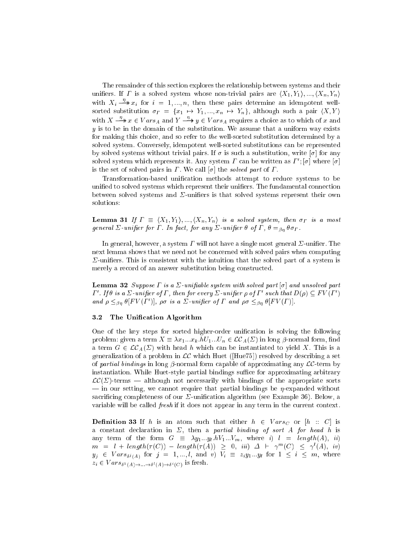The remainder of this se
tion explores the relationship between systems and their unifiers. If  $\Gamma$  is a solved system whose non-trivial pairs are  $\langle X_1, Y_1 \rangle, ..., \langle X_n, Y_n \rangle$ with  $X_i \longrightarrow^n x_i$  for  $i = 1, ..., n$ , then these pairs determine an idempotent wellsorted substitution  $\sigma_F = \{x_1 \mapsto x_1, ..., x_n \mapsto x_n\}$ , although such a pair  $\langle A, I \rangle$ <br>with  $X \stackrel{\eta}{\longrightarrow} x \in Vars_A$  and  $Y \stackrel{\eta}{\longrightarrow} y \in Vars_A$  requires a choice as to which of x and  $y$  is to be in the domain of the substitution. We assume that a uniform way exists for making this choice, and so refer to the well-sorted substitution determined by a solved system. Conversely, idempotent well-sorted substitutions an be represented by solved systems without trivial pairs. If  $\sigma$  is such a substitution, write  $[\sigma]$  for any solved system which represents it. Any system  $I$  -can be written as  $I^-(\sigma)$  where  $|\sigma|$ is the set of solved pairs in  $\Gamma$ . We call  $[\sigma]$  the solved part of  $\Gamma$ .

Transformation-based unification methods attempt to reduce systems to be unified to solved systems which represent their unifiers. The fundamental connection between solved systems and  $\Sigma$ -unifiers is that solved systems represent their own solutions:

**Lemma 31** If  $\Gamma \equiv \langle X_1, Y_1 \rangle, ..., \langle X_n, Y_n \rangle$  is a solved system, then  $\sigma_{\Gamma}$  is a most general  $\Sigma$ -unifier for  $\Gamma$ . In fact, for any  $\Sigma$ -unifier  $\theta$  of  $\Gamma$ ,  $\theta =_{\beta\eta} \theta \sigma_{\Gamma}$ .

In general, however, a system  $\Gamma$  will not have a single most general  $\Sigma$ -unifier. The next lemma shows that we need not be on
erned with solved pairs when omputing  $\Sigma$ -unifiers. This is consistent with the intuition that the solved part of a system is merely a record of an answer substitution being constructed.

**Lemma 32** Suppose  $\Gamma$  is a  $\Sigma$ -unifiable system with solved part  $[\sigma]$  and unsolved part  $1$  , if  $\sigma$  is a  $\vartriangle$ -unifier of  $1$  , then for every  $\vartriangle$ -unifier  $\rho$  of  $1$  such that  $D(\rho) \subseteq$   $\Gamma$  V  $(1$  ) and  $\rho \leq_{\beta\eta} \sigma$  [F V (1)],  $\rho \circ \iota s$  a  $\varphi$ -unifier of 1 and  $\rho \circ \leq_{\beta\eta} \sigma$  [F V (1)].

### 3.2 The Unification Algorithm

One of the key steps for sorted higher-order unification is solving the following problem: given a term  $X \equiv \lambda x_1...x_k.hU_1...U_n \in \mathcal{LC}_A(\Sigma)$  in long  $\beta$ -normal form, find a term  $G \in \mathcal{LC}_A(\Sigma)$  with head h which can be instantiated to yield X. This is a generalization of a problem in  $LC$  which Huet ([Hue75]) resolved by describing a set of partial bindings in long  $\beta$ -normal form capable of approximating any  $\mathcal{LC}$ -term by instantiation. While Huet-style partial bindings suffice for approximating arbitrary  $\mathcal{LC}(\Sigma)$ -terms — although not necessarily with bindings of the appropriate sorts  $\equiv$  in our setting, we cannot require that partial bindings be *n*-expanded without sacrificing completeness of our  $\Sigma$ -unification algorithm (see Example 36). Below, a variable will be called *fresh* if it does not appear in any term in the current context.

**Definition 33** If h is an atom such that either  $h \in Var_{SC}$  or  $[h :: C]$  is a constant declaration in  $\Sigma$ , then a partial binding of sort A for head h is any term of the form  $G \equiv \lambda y_1 \dots y_l \dots hV_1 \dots V_m$ , where i)  $l = length(A),$  ii)  $m = l + length(\tau(C)) - length(\tau(A)) > 0, \text{ iii)} \Delta + \gamma^m(C) < \gamma^l(A), \text{ iv}$  $y_j$   $\in$   $\ell$   $urs_{\delta^j(A)}$  for  $j = 1, ..., t$ , and  $v$   $\ell$   $v_j = z_i y_1...y_l$  for  $1 \leq i \leq m$ , where  $z_i \in V$  ars  $\delta^1(A) \rightarrow ... \rightarrow \delta^l(A) \rightarrow \delta^i(C)$  is fresh.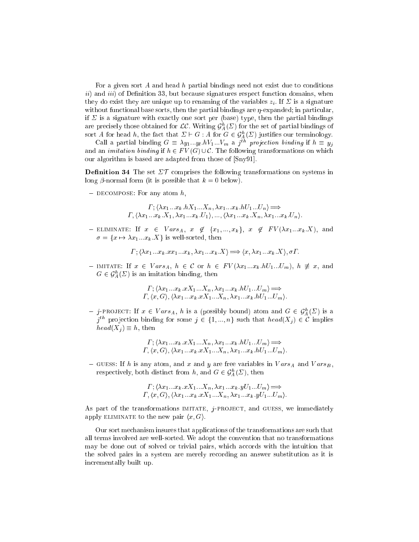For a given sort  $A$  and head  $h$  partial bindings need not exist due to conditions  $ii)$  and  $iii)$  of Definition 33, but because signatures respect function domains, when they do exist they are unique up to renaming of the variables  $z_i$ . If  $\Sigma$  is a signature without functional base sorts, then the partial bindings are  $\eta$ -expanded; in particular, if  $\Sigma$  is a signature with exactly one sort per (base) type, then the partial bindings are precisely those obtained for  $LC$ . Writing  $\mathcal{G}_A^h(\Sigma)$  for the set of partial bindings of sort A for head h, the fact that  $\Sigma \vdash G : A$  for  $G \in \mathcal{G}_A^h(\Sigma)$  justifies our terminology.

Call a partial binding  $G = \lambda y_1 ... y_l h V_1 ... V_m$  a j<sup>th</sup> projection binding if  $h = y_j$ and an *imitation binding* if  $h \in FV(G) \cup C$ . The following transformations on which our algorithm is based are adapted from those of [Sny91].

**Definition 34** The set  $\Sigma \mathcal{T}$  comprises the following transformations on systems in long  $\beta$ -normal form (it is possible that  $k = 0$  below).

- DECOMPOSE: For any atom  $h$ ,

$$
\Gamma; \langle \lambda x_1 \dots x_k \cdot hX_1 \dots X_n, \lambda x_1 \dots x_k \cdot hU_1 \dots U_n \rangle \Longrightarrow
$$
  

$$
\Gamma, \langle \lambda x_1 \dots x_k \cdot X_1, \lambda x_1 \dots x_k \cdot U_1 \rangle, \dots, \langle \lambda x_1 \dots x_k \cdot X_n, \lambda x_1 \dots x_k \cdot U_n \rangle.
$$

- ELIMINATE: If  $x \in Vars_A$ ,  $x \notin \{x_1,...,x_k\}$ ,  $x \notin FV(\lambda x_1...x_k.X)$ , and  $\sigma = \{x \mapsto \lambda x_1 ... x_k X\}$  is well-sorted, then

$$
\Gamma; \langle \lambda x_1...x_k. x x_1...x_k, \lambda x_1...x_k. X \rangle \Longrightarrow \langle x, \lambda x_1...x_k. X \rangle, \sigma \Gamma
$$

- IMITATE: If  $x \in Vars_A$ ,  $h \in C$  or  $h \in FV(\lambda x_1...x_k.hU_1...U_m)$ ,  $h \not\equiv x$ , and  $G \in \mathcal{G}_{\mathcal{A}}^{h}(\Sigma)$  is an imitation binding, then

$$
\Gamma; \langle \lambda x_1...x_k.xX_1...X_n, \lambda x_1...x_k.hU_1...U_m \rangle \Longrightarrow
$$
  

$$
\Gamma, \langle x, G \rangle, \langle \lambda x_1...x_k.xX_1...X_n, \lambda x_1...x_k.hU_1...U_m \rangle.
$$

- j-PROJECT: If  $x \in Vars_A$ , h is a (possibly bound) atom and  $G \in \mathcal{G}_A^h(\Sigma)$  is a  $j^{th}$  projection binding for some  $j \in \{1, ..., n\}$  such that  $head(X_j) \in \mathcal{C}$  implies  $head(X_i) \equiv h$ , then

$$
\Gamma; \langle \lambda x_1 \dots x_k . x X_1 \dots X_n, \lambda x_1 \dots x_k . h U_1 \dots U_m \rangle \Longrightarrow
$$
  

$$
\Gamma, \langle x, G \rangle, \langle \lambda x_1 \dots x_k . x X_1 \dots X_n, \lambda x_1 \dots x_k . h U_1 \dots U_m \rangle.
$$

- GUESS: If h is any atom, and x and y are free variables in  $Vars_A$  and  $Vars_B$ , respectively, both distinct from h, and  $G \in \mathcal{G}_A^h(\Sigma)$ , then

$$
\Gamma; \langle \lambda x_1...x_k. xX_1...X_n, \lambda x_1...x_k. yU_1...U_m \rangle \Longrightarrow
$$
  

$$
\Gamma, \langle x, G \rangle, \langle \lambda x_1...x_k. xX_1...X_n, \lambda x_1...x_k. yU_1...U_m \rangle.
$$

As part of the transformations IMITATE, j-PROJECT, and GUESS, we immediately apply ELIMINATE to the new pair  $\langle x, G \rangle$ .

Our sort mechanism insures that applications of the transformations are such that all terms involved are well-sorted. We adopt the convention that no transformations may be done out of solved or trivial pairs, which accords with the intuition that the solved pairs in a system are merely recording an answer substitution as it is incrementally built up.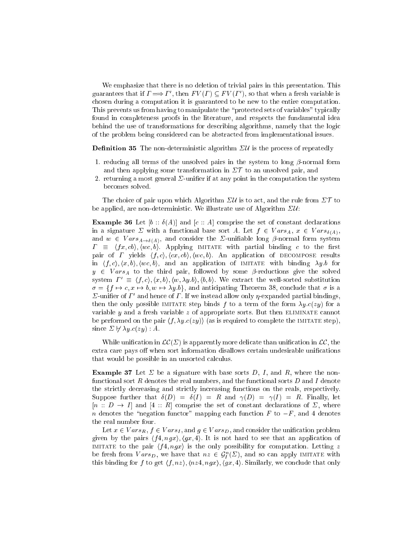We emphasize that there is no deletion of trivial pairs in this presentation. This guarantees that if  $I \implies I$ , then  $I \vee (I) \subseteq I \vee (I)$ , so that when a fresh variable is hosen during a omputation it is guaranteed to be new to the entire omputation. This prevents us from having to manipulate the "protected sets of variables" typically found in completeness proofs in the literature, and respects the fundamental idea behind the use of transformations for des
ribing algorithms, namely that the logi of the problem being onsidered an be abstra
ted from implementational issues.

**Definition 35** The non-deterministic algorithm  $\Sigma \mathcal{U}$  is the process of repeatedly

- 1. reducing all terms of the unsolved pairs in the system to long  $\beta$ -normal form and then applying some transformation in  $\Sigma \mathcal{T}$  to an unsolved pair, and
- 2. returning a most general  $\Sigma$ -unifier if at any point in the computation the system be
omes solved.

The choice of pair upon which Algorithm  $\Sigma\mathcal{U}$  is to act, and the rule from  $\Sigma\mathcal{T}$  to be applied, are non-deterministic. We illustrate use of Algorithm  $\Sigma \mathcal{U}$ :

**Example 36** Let  $[b:: \delta(A)]$  and  $[c:: A]$  comprise the set of constant declarations in a signature  $\Sigma$  with a functional base sort A. Let  $f \in Vars_{A}, x \in Vars_{\delta(A)},$ and  $w \in Vars_{A\rightarrow \delta(A)}$ , and consider the *Σ*-unifiable long *β*-normal form system  $\Gamma \equiv \langle fx, cb \rangle, \langle wc, b \rangle$ . Applying IMITATE with partial binding c to the first pair of  $\Gamma$  yields  $\langle f, c \rangle$ ,  $\langle cx, cb \rangle$ ,  $\langle wc, b \rangle$ . An application of DECOMPOSE results in  $\langle f, c \rangle$ ,  $\langle x, b \rangle$ ,  $\langle wc, b \rangle$ , and an application of IMITATE with binding  $\lambda y.b$  for  $y \in Vars_A$  to the third pair, followed by some  $\beta$ -reductions give the solved system  $\Gamma' \equiv \langle f, c \rangle, \langle x, b \rangle, \langle w, \lambda y. b \rangle, \langle b, b \rangle$ . We extract the well-sorted substitution  $\sigma = \{f \mapsto c, x \mapsto b, w \mapsto \lambda y.b\}$ , and anticipating Theorem 38, conclude that  $\sigma$  is a  $\omega$ -unifier of  $I$  and hence of  $I$  . If we instead allow only  $\eta$ -expanded partial bindings, then the only possible IMITATE step binds f to a term of the form  $\lambda y.c(zy)$  for a variable  $y$  and a fresh variable  $z$  of appropriate sorts. But then ELIMINATE cannot be performed on the pair  $\langle f, \lambda y.c(zy) \rangle$  (as is required to complete the IMITATE step), since  $\Sigma \not\vdash \lambda y.c(zy) : A$ .

While unification in  $LC(\Sigma)$  is apparently more delicate than unification in  $LC$ , the extra care pays off when sort information disallows certain undesirable unifications that would be possible in an unsorted calculus.

**Example 37** Let  $\Sigma$  be a signature with base sorts D, I, and R, where the nonfunctional sort R denotes the real numbers, and the functional sorts D and I denote the strictly decreasing and strictly increasing functions on the reals, respectively. Suppose further that  $\delta(D) = \delta(I) = R$  and  $\gamma(D) = \gamma(I) = R$ . Finally, let  $[n:: D \rightarrow I]$  and  $[4:: R]$  comprise the set of constant declarations of  $\Sigma$ , where n denotes the "negation functor" mapping each function F to  $-F$ , and 4 denotes the real number four.

Let  $x \in Vars_R$ ,  $f \in Vars_I$ , and  $g \in Vars_D$ , and consider the unification problem given by the pairs  $\langle f4, ngx\rangle$ ,  $\langle gx, 4\rangle$ . It is not hard to see that an application of imitate to the pair hf 4; ngxi is the only possibility for omputation. Letting z be fresh from  $Vars_D$ , we have that  $nz \in \mathcal{G}_l^n(\Sigma)$ , and so can apply imitate with this binding for f to get  $\langle f, nz \rangle$ ,  $\langle nz4, ngx \rangle$ ,  $\langle gx, 4 \rangle$ . Similarly, we conclude that only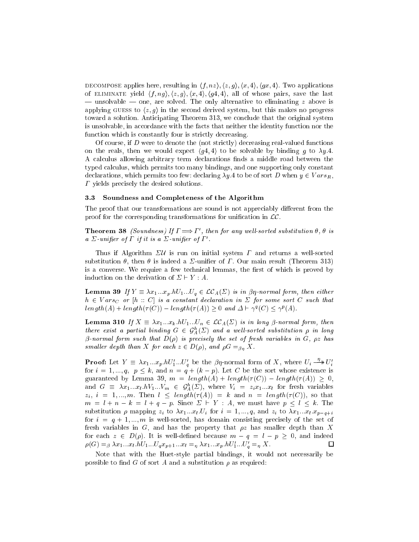de ompose applies here, resulting in here, resulting in high state and the state of the state of the state of the state of the state of the state of the state of the state of the state of the state of the state of the stat of ELIMINATE yield  $\langle f, ng \rangle$ ,  $\langle z, g \rangle$ ,  $\langle x, 4 \rangle$ ,  $\langle g4, 4 \rangle$ , all of whose pairs, save the last  $-$  unsolvable  $-$  one, are solved. The only alternative to eliminating  $z$  above is applying GUESS to  $\langle z, g \rangle$  in the second derived system, but this makes no progress toward a solution. Anticipating Theorem 313, we conclude that the original system is unsolvable, in accordance with the facts that neither the identity function nor the function which is constantly four is strictly decreasing.

Of course, if D were to denote the (not strictly) decreasing real-valued functions on the reals, then we would expect  $\langle q4, 4 \rangle$  to be solvable by binding g to  $\lambda y.4$ . A calculus allowing arbitrary term declarations finds a middle road between the typed calculus, which permits too many bindings, and one supporting only constant declarations, which permits too few: declaring  $\lambda y.4$  to be of sort D when  $y \in Vars_R$ ,  $\Gamma$  yields precisely the desired solutions.

#### 3.3 Soundness and Completeness of the Algorithm

The proof that our transformations are sound is not appreciably different from the proof for the corresponding transformations for unification in  $\mathcal{LC}$ .

**Theorem 38** (Soundness) If  $I \implies I$ , then for any well-sorted substitution  $\sigma$ ,  $\sigma$  is  $a \geq$ -unifier of  $I$  if it is a  $\geq$ -unifier of  $I$ .

Thus if Algorithm  $\Sigma U$  is run on initial system  $\Gamma$  and returns a well-sorted substitution  $\theta$ , then  $\theta$  is indeed a *Σ*-unifier of *Γ*. Our main result (Theorem 313) is a converse. We require a few technical lemmas, the first of which is proved by induction on the derivation of  $\Sigma \vdash Y : A$ .

**Lemma 39** If  $Y \equiv \lambda x_1...x_p.hU_1...U_q \in \mathcal{LC}_A(\Sigma)$  is in  $\beta\eta$ -normal form, then either  $h \in Vars_C$  or  $[h :: C]$  is a constant declaration in  $\Sigma$  for some sort C such that  $length(A) + length(\tau(C)) - length(\tau(A)) \geq 0$  and  $\Delta \vdash \gamma^q(C) \leq \gamma^p(A)$ .

**Lemma 310** If  $X \equiv \lambda x_1...x_k hU_1...U_n \in \mathcal{LC}_A(\Sigma)$  is in long  $\beta$ -normal form, then there exist a partial binding  $G \in \mathcal{G}_A^h(\Sigma)$  and a well-sorted substitution  $\rho$  in long  $\beta$ -normal form such that  $D(\rho)$  is precisely the set of fresh variables in  $G$ ,  $\rho z$  has smaller depth than X for each  $z \in D(\rho)$ , and  $\rho G =_{\beta\eta} X$ .

**Proof:** Let  $Y = \lambda x_1...x_p.hU'_1...U'_q$  be the  $\beta\eta$ -normal form of X, where  $U_i \stackrel{\eta}{\longrightarrow} U'_i$ for  $i = 1, ..., q, p \leq k$ , and  $n = q + (k - p)$ . Let C be the sort whose existence is guaranteed by Lemma 39,  $m = length(A) + length(\tau(C)) - length(\tau(A)) \geq 0$ , and  $G \equiv \lambda x_1...x_l .hV_1...V_m \in \mathcal{G}_A^h(\Sigma)$ , where  $V_i = z_i x_1...x_l$  for fresh variables  $z_i, i = 1, ..., m$ . Then  $l \leq length(\tau(A)) = k$  and  $n = length(\tau(C))$ , so that  $m = l + n - k = l + q - p$ . Since  $\Sigma \vdash Y : A$ , we must have  $p \leq l \leq k$ . The substitution  $\rho$  mapping  $z_i$  to  $\lambda x_1...x_l$ .  $U_i$  for  $i = 1,...,q$ , and  $z_i$  to  $\lambda x_1...x_l$ .  $x_{p-q+i}$ for  $i = q + 1, \ldots, m$  is well-sorted, has domain consisting precisely of the set of fresh variables in G, and has the property that  $\rho z$  has smaller depth than X for each  $z \in D(\rho)$ . It is well-defined because  $m - q = l - p \geq 0$ , and indeed  $\Box$  $\rho(\mathbf{G}) =_{\beta} \lambda x_1 ... x_l \cdot n_{U_1} ... U_q x_{p+1} ... x_l =_{\eta} \lambda x_1 ... x_p \cdot n_{U_1} ... U_q =_{\eta} \lambda.$ 

Note that with the Huet-style partial bindings, it would not ne
essarily be possible to find G of sort A and a substitution  $\rho$  as required: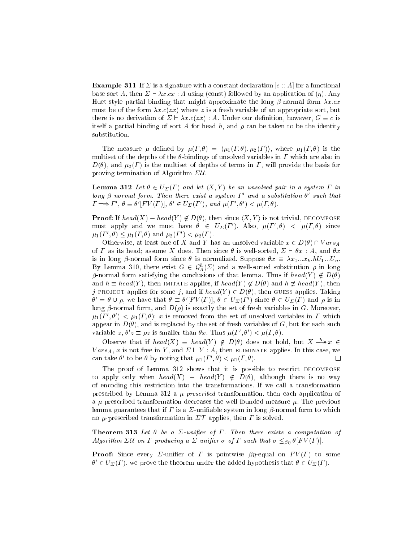**Example 311** If  $\Sigma$  is a signature with a constant declaration  $[c:: A]$  for a functional base sort A, then  $\Sigma \vdash \lambda x. cx : A$  using (const) followed by an application of  $(\eta)$ . Any Huet-style partial binding that might approximate the long  $\beta$ -normal form  $\lambda x.$  cx must be of the form  $\lambda x.c(zx)$  where z is a fresh variable of an appropriate sort, but there is no derivation of  $\Sigma \vdash \lambda x . c(zx) : A$ . Under our definition, however,  $G \equiv c$  is itself a partial binding of sort A for head h, and  $\rho$  can be taken to be the identity substitution.

The measure  $\mu$  defined by  $\mu(\Gamma, \theta) = \langle \mu_1(\Gamma, \theta), \mu_2(\Gamma) \rangle$ , where  $\mu_1(\Gamma, \theta)$  is the multiset of the depths of the  $\theta$ -bindings of unsolved variables in  $\Gamma$  which are also in  $D(\theta)$ , and  $\mu_2(\Gamma)$  is the multiset of depths of terms in  $\Gamma$ , will provide the basis for proving termination of Algorithm  $\Sigma \mathcal{U}$ .

**Lemma 312** Let  $\theta \in U_{\Sigma}(\Gamma)$  and let  $\langle X, Y \rangle$  be an unsolved pair in a system  $\Gamma$  in long p-normal form. Then there exist a system 1 - and a substitution 0 - such that  $I \implies I$ ,  $\theta = \theta$  |F v (I)|,  $\theta \in U_{\Sigma}(I)$ , and  $\mu(I, \theta) < \mu(I, \theta)$ .

**Proof:** If  $head(X) \equiv head(Y) \notin D(\theta)$ , then since  $\langle X, Y \rangle$  is not trivial, DECOMPOSE must apply and we must have  $\sigma$   $\in$   $U_{\mathcal{D}}(I)$ . Also,  $\mu(I_-, \sigma)$   $\leq$   $\mu(I_-, \sigma)$  since  $\mu_1(I_-, \sigma) \leq \mu_1(I_-, \sigma)$  and  $\mu_2(I_-) \leq \mu_2(I_-)$ .

Otherwise, at least one of X and Y has an unsolved variable  $x \in D(\theta) \cap Vars_A$ of  $\Gamma$  as its head; assume X does. Then since  $\theta$  is well-sorted,  $\Sigma \vdash \theta x : A$ , and  $\theta x$ is in long  $\beta$ -normal form since  $\theta$  is normalized. Suppose  $\theta x \equiv \lambda x_1...x_k hU_1...U_n$ . By Lemma 310, there exist  $G \in \mathcal{G}_A^h(\Sigma)$  and a well-sorted substitution  $\rho$  in long  $\beta$ -normal form satisfying the conclusions of that lemma. Thus if  $head(Y) \notin D(\theta)$ and  $h \equiv head(Y)$ , then IMITATE applies, if  $head(Y) \notin D(\theta)$  and  $h \not\equiv head(Y)$ , then j-PROJECT applies for some j, and if  $head(Y) \in D(\theta)$ , then GUESS applies. Taking  $\sigma = \sigma \cup \rho$ , we have that  $\sigma = \sigma |F|v(T)|$ ,  $\sigma \in U_{\Sigma}(T)$  since  $\sigma \in U_{\Sigma}(T)$  and  $\rho$  is in long  $\beta$ -normal form, and  $D(\rho)$  is exactly the set of fresh variables in G. Moreover,  $\mu_1(I^-,\sigma) \leq \mu_1(I,\sigma)$ : x is removed from the set of unsolved variables in I which appear in  $D(\theta)$ , and is replaced by the set of fresh variables of G, but for each such variable  $z, \sigma z = \rho z$  is smaller than  $\sigma x$ . Thus  $\mu(1, \sigma) < \mu(1, \sigma)$ .

Observe that if  $head(X) \equiv head(Y) \notin D(\theta)$  does not hold, but  $X \stackrel{\eta}{\longrightarrow} x \in$  $Vars_A$ , x is not free in Y, and  $\Sigma \vdash Y : A$ , then ELIMINATE applies. In this case, we 口 can take  $\sigma$  to be  $\sigma$  by noting that  $\mu_1(\tau_-, \sigma) < \mu_1(\tau_-, \sigma)$ .

The proof of Lemma 312 shows that it is possible to restrict DECOMPOSE to apply only when  $head(X) \equiv head(Y) \notin D(\theta)$ , although there is no way of en
oding this restri
tion into the transformations. If we all a transformation prescribed by Lemma 312 a  $\mu$ -prescribed transformation, then each application of a  $\mu$ -prescribed transformation decreases the well-founded measure  $\mu$ . The previous lemma guarantees that if  $\Gamma$  is a  $\Sigma$ -unifiable system in long  $\beta$ -normal form to which no  $\mu$ -prescribed transformation in  $\Sigma \mathcal{T}$  applies, then  $\Gamma$  is solved.

**Theorem 313** Let  $\theta$  be a  $\Sigma$ -unifier of  $\Gamma$ . Then there exists a computation of Algorithm  $\Sigma U$  on  $\Gamma$  producing a  $\Sigma$ -unifier  $\sigma$  of  $\Gamma$  such that  $\sigma \leq_{\beta\eta} \theta[FV(\Gamma)].$ 

**Proof:** Since every  $\Sigma$ -unifier of  $\Gamma$  is pointwise  $\beta\eta$ -equal on  $FV(\Gamma)$  to some  $\sigma$   $\in$   $\cup$   $_{\Sigma}$ ( $\iota$  ), we prove the theorem under the added hypothesis that  $\sigma$   $\in$   $\cup$   $_{\Sigma}$ ( $\iota$  ).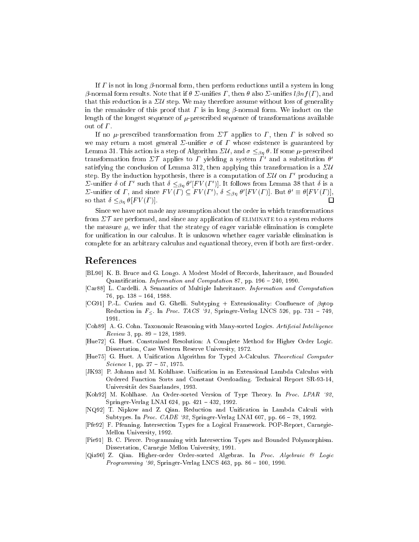If  $\Gamma$  is not in long  $\beta$ -normal form, then perform reductions until a system in long  $\beta$ -normal form results. Note that if  $\theta$   $\Sigma$ -unifies  $\Gamma$ , then  $\theta$  also  $\Sigma$ -unifies  $l\beta nf(\Gamma)$ , and that this reduction is a  $\Sigma\mathcal{U}$  step. We may therefore assume without loss of generality in the remainder of this proof that  $\Gamma$  is in long  $\beta$ -normal form. We induct on the length of the longest sequence of  $\mu$ -prescribed sequence of transformations available out of  $\Gamma$ .

If no  $\mu$ -prescribed transformation from  $\Sigma \mathcal{T}$  applies to  $\Gamma$ , then  $\Gamma$  is solved so we may return a most general  $\Sigma$ -unifier  $\sigma$  of  $\Gamma$  whose existence is guaranteed by Lemma 31. This action is a step of Algorithm  $\Sigma\mathcal{U}$ , and  $\sigma \leq_{\beta n} \theta$ . If some  $\mu$ -prescribed transformation from  $\mathbb{Z}$  applies to  $I$  -yielding a system  $I$  -and a substitution  $\sigma$ satisfying the conclusion of Lemma 312, then applying this transformation is a  $\Sigma U$ step. By the induction hypothesis, there is a computation of  $\mathcal{Z} u$  on  $I$  -producing a  $\omega$ -uniner  $\sigma$  of  $I$  such that  $\sigma \leq_{\beta\eta} \sigma$  [FV (1)]. It follows from Lemma 38 that  $\sigma$  is a  $\mathcal{L}$ -unitier of  $I$ , and since  $I \cap (I) \subseteq I \cap (I)$ ,  $\emptyset \leq_{\beta\eta} \emptyset$  [FV (1)]. But  $\emptyset = \emptyset$ [FV (1)], so that  $\delta \leq_{\beta\eta} \theta$ [FV(T)].  $\Box$ 

Sin
e we have not made any assumption about the order in whi
h transformations from  $\Sigma \mathcal{T}$  are performed, and since any application of ELIMINATE to a system reduces the measure  $\mu$ , we infer that the strategy of eager variable elimination is complete for unification in our calculus. It is unknown whether eager variable elimination is complete for an arbitrary calculus and equational theory, even if both are first-order.

- [BL90] K. B. Bruce and G. Longo. A Modest Model of Records, Inheritance, and Bounded Quantification. Information and Computation 87, pp.  $196 - 240$ , 1990.
- [Car88] L. Cardelli. A Semantics of Multiple Inheritance. Information and Computation 76, pp.  $138 - 164$ , 1988.
- [CG91] P.-L. Curien and G. Ghelli. Subtyping + Extensionality: Confluence of  $\beta \eta$ top Reduction in  $F<$ . In Proc. TACS '91, Springer-Verlag LNCS 526, pp. 731 - 749, 1991.
- [Coh89] A. G. Cohn. Taxonomic Reasoning with Many-sorted Logics. Artificial Intelligence  $Review\,3, pp. \,89 - 128, 1989.$
- [Hue72] G. Huet. Constrained Resolution: A Complete Method for Higher Order Logic. Dissertation, Case Western Reserve University, 1972.
- [Hue75] G. Huet. A Unification Algorithm for Typed  $\lambda$ -Calculus. Theoretical Computer  $Science\ 1, pp.$  27 - 57, 1975.
- [JK93] P. Johann and M. Kohlhase. Unification in an Extensional Lambda Calculus with Ordered Fun
tion Sorts and Constant Overloading. Te
hni
al Report SR-93-14, Universitat des Saarlandes, 1993.
- [Koh92] M. Kohlhase. An Order-sorted Version of Type Theory. In Proc. LPAR '92, Springer-Verlag LNAI 624, pp. 421 - 432, 1992.
- [NQ92] T. Nipkow and Z. Qian. Reduction and Unification in Lambda Calculi with Subtypes. In Proc. CADE '92, Springer-Verlag LNAI 607, pp.  $66 - 78$ , 1992.
- [Pfe92] F. Pfenning. Intersection Types for a Logical Framework. POP-Report, Carnegie-Mellon University, 1992.
- [Pie91] B. C. Pierce. Programming with Intersection Types and Bounded Polymorphism. Dissertation, Carnegie Mellon University, 1991.
- [Qia90] Z. Qian. Higher-order Order-sorted Algebras. In Proc. Algebraic & Logic *Programming '90*, Springer-Verlag LNCS 463, pp. 86  $-$  100, 1990.